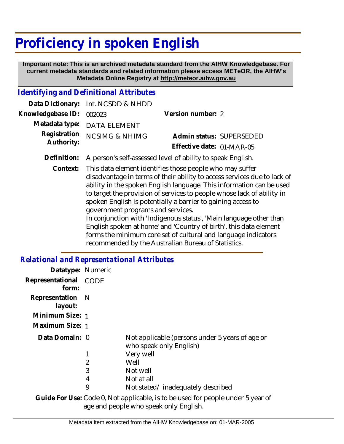# **Proficiency in spoken English**

 **Important note: This is an archived metadata standard from the AIHW Knowledgebase. For current metadata standards and related information please access METeOR, the AIHW's Metadata Online Registry at http://meteor.aihw.gov.au**

### *Identifying and Definitional Attributes*

|                            | Data Dictionary: Int. NCSDD & NHDD                                      |                           |  |
|----------------------------|-------------------------------------------------------------------------|---------------------------|--|
| Knowledgebase ID: 002023   |                                                                         | Version number: 2         |  |
|                            | Metadata type: DATA ELEMENT                                             |                           |  |
| Registration<br>Authority: | <b>NCSIMG &amp; NHIMG</b>                                               | Admin status: SUPERSEDED  |  |
|                            |                                                                         | Effective date: 01-MAR-05 |  |
|                            | Definition: A person's self-assessed level of ability to speak English. |                           |  |

Context: This data element identifies those people who may suffer disadvantage in terms of their ability to access services due to lack of ability in the spoken English language. This information can be used to target the provision of services to people whose lack of ability in spoken English is potentially a barrier to gaining access to government programs and services. In conjunction with 'Indigenous status', 'Main language other than English spoken at home' and 'Country of birth', this data element forms the minimum core set of cultural and language indicators

recommended by the Australian Bureau of Statistics.

#### *Relational and Representational Attributes*

| Datatype: Numeric           |      |                                                                                                                               |
|-----------------------------|------|-------------------------------------------------------------------------------------------------------------------------------|
| Representational<br>form:   | CODE |                                                                                                                               |
| Representation N<br>layout: |      |                                                                                                                               |
| Minimum Size: 1             |      |                                                                                                                               |
| Maximum Size: 1             |      |                                                                                                                               |
| Data Domain: 0              |      | Not applicable (persons under 5 years of age or<br>who speak only English)                                                    |
|                             |      | Very well                                                                                                                     |
|                             | 2    | Well                                                                                                                          |
|                             | 3    | Not well                                                                                                                      |
|                             | 4    | Not at all                                                                                                                    |
|                             | 9    | Not stated/inadequately described                                                                                             |
|                             |      | $\bigcap$ della Familia i $\bigcap$ della $\bigcap$ Media dell'estato della contratta della college della della college della |

Guide For Use: Code 0, Not applicable, is to be used for people under 5 year of age and people who speak only English.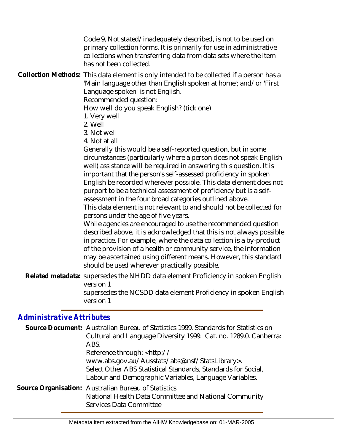Code 9, Not stated/inadequately described, is not to be used on primary collection forms. It is primarily for use in administrative collections when transferring data from data sets where the item has not been collected.

Collection Methods: This data element is only intended to be collected if a person has a 'Main language other than English spoken at home'; and/or 'First Language spoken' is not English.

Recommended question:

How well do you speak English? (tick one)

- 1. Very well
- 2. Well
- 3. Not well
- 4. Not at all

Generally this would be a self-reported question, but in some circumstances (particularly where a person does not speak English well) assistance will be required in answering this question. It is important that the person's self-assessed proficiency in spoken English be recorded wherever possible. This data element does not purport to be a technical assessment of proficiency but is a selfassessment in the four broad categories outlined above.

This data element is not relevant to and should not be collected for persons under the age of five years.

While agencies are encouraged to use the recommended question described above, it is acknowledged that this is not always possible in practice. For example, where the data collection is a by-product of the provision of a health or community service, the information may be ascertained using different means. However, this standard should be used wherever practically possible.

Related metadata: supersedes the NHDD data element Proficiency in spoken English version 1 supersedes the NCSDD data element Proficiency in spoken English version 1

## *Administrative Attributes*

| Source Document: Australian Bureau of Statistics 1999. Standards for Statistics on<br>Cultural and Language Diversity 1999. Cat. no. 1289.0. Canberra:<br>ABS.            |
|---------------------------------------------------------------------------------------------------------------------------------------------------------------------------|
| Reference through: <http: <="" td=""></http:>                                                                                                                             |
| www.abs.gov.au/Ausstats/abs@.nsf/StatsLibrary>.<br>Select Other ABS Statistical Standards, Standards for Social,<br>Labour and Demographic Variables, Language Variables. |
| Source Organisation: Australian Bureau of Statistics<br>National Health Data Committee and National Community<br>Services Data Committee                                  |